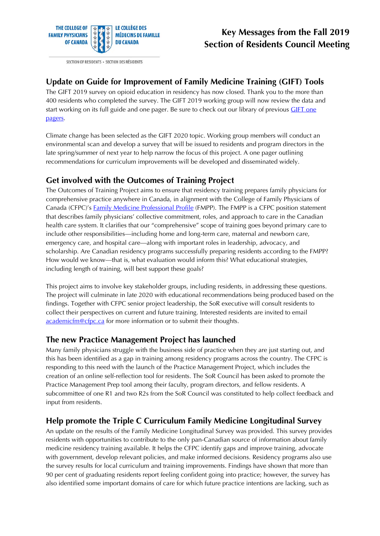

SECTION OF RESIDENTS · SECTION DES RÉSIDENTS

## **Key Messages from the Fall 2019 Section of Residents Council Meeting**

#### **Update on Guide for Improvement of Family Medicine Training (GIFT) Tools**

The GIFT 2019 survey on opioid education in residency has now closed. Thank you to the more than 400 residents who completed the survey. The GIFT 2019 working group will now review the data and start working on its full guide and one pager. Be sure to check out our library of previous *GIFT one* [pagers.](https://www.cfpc.ca/sectionofresidents_training_guides/)

Climate change has been selected as the GIFT 2020 topic. Working group members will conduct an environmental scan and develop a survey that will be issued to residents and program directors in the late spring/summer of next year to help narrow the focus of this project. A one pager outlining recommendations for curriculum improvements will be developed and disseminated widely.

#### **Get involved with the Outcomes of Training Project**

The Outcomes of Training Project aims to ensure that residency training prepares family physicians for comprehensive practice anywhere in Canada, in alignment with the College of Family Physicians of Canada (CFPC)'s [Family Medicine Professional Profile](http://www.cfpc.ca/fmprofile) (FMPP). The FMPP is a CFPC position statement that describes family physicians' collective commitment, roles, and approach to care in the Canadian health care system. It clarifies that our "comprehensive" scope of training goes beyond primary care to include other responsibilities—including home and long-term care, maternal and newborn care, emergency care, and hospital care—along with important roles in leadership, advocacy, and scholarship. Are Canadian residency programs successfully preparing residents according to the FMPP? How would we know—that is, what evaluation would inform this? What educational strategies, including length of training, will best support these goals?

This project aims to involve key stakeholder groups, including residents, in addressing these questions. The project will culminate in late 2020 with educational recommendations being produced based on the findings. Together with CFPC senior project leadership, the SoR executive will consult residents to collect their perspectives on current and future training. Interested residents are invited to email [academicfm@cfpc.ca](mailto:academicfm@cfpc.ca) for more information or to submit their thoughts.

#### **The new Practice Management Project has launched**

Many family physicians struggle with the business side of practice when they are just starting out, and this has been identified as a gap in training among residency programs across the country. The CFPC is responding to this need with the launch of the Practice Management Project, which includes the creation of an online self-reflection tool for residents. The SoR Council has been asked to promote the Practice Management Prep tool among their faculty, program directors, and fellow residents. A subcommittee of one R1 and two R2s from the SoR Council was constituted to help collect feedback and input from residents.

#### **Help promote the Triple C Curriculum Family Medicine Longitudinal Survey**

An update on the results of the Family Medicine Longitudinal Survey was provided. This survey provides residents with opportunities to contribute to the only pan-Canadian source of information about family medicine residency training available. It helps the CFPC identify gaps and improve training, advocate with government, develop relevant policies, and make informed decisions. Residency programs also use the survey results for local curriculum and training improvements. Findings have shown that more than 90 per cent of graduating residents report feeling confident going into practice; however, the survey has also identified some important domains of care for which future practice intentions are lacking, such as